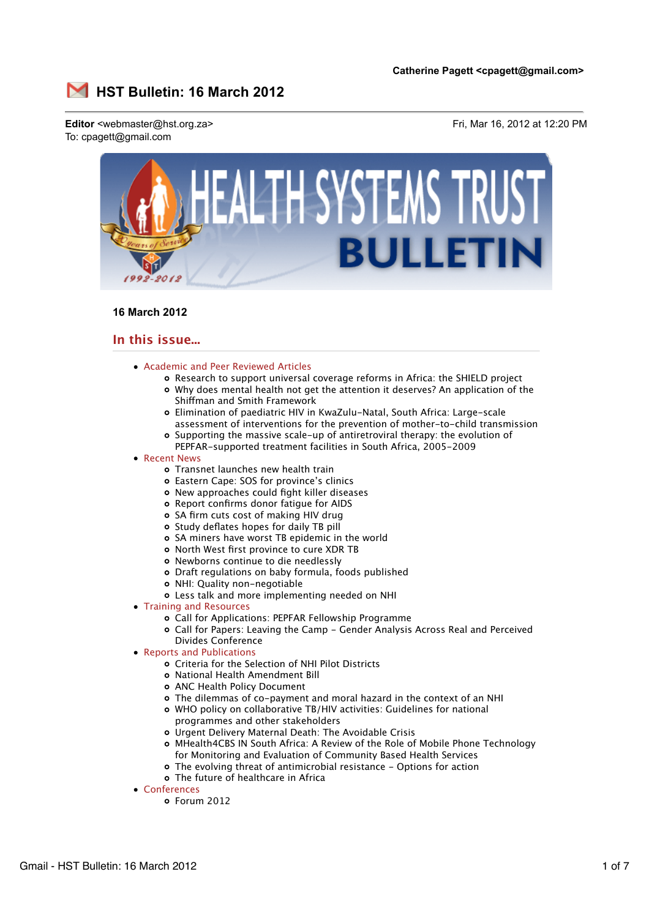

# **16 March 2012**

# **In this issue...**

- Academic and Peer Reviewed Articles
	- Research to support universal coverage reforms in Africa: the SHIELD project
	- Why does mental health not get the attention it deserves? An application of the Shiffman and Smith Framework
	- Elimination of paediatric HIV in KwaZulu-Natal, South Africa: Large-scale assessment of interventions for the prevention of mother-to-child transmission
	- Supporting the massive scale-up of antiretroviral therapy: the evolution of PEPFAR-supported treatment facilities in South Africa, 2005-2009
- Recent News
	- Transnet launches new health train
	- Eastern Cape: SOS for province's clinics
	- New approaches could fight killer diseases
	- Report confirms donor fatigue for AIDS
	- o SA firm cuts cost of making HIV drug
	- o Study deflates hopes for daily TB pill
	- SA miners have worst TB epidemic in the world
	- o North West first province to cure XDR TB
	- Newborns continue to die needlessly
	- Draft regulations on baby formula, foods published
	- NHI: Quality non-negotiable
	- Less talk and more implementing needed on NHI
- Training and Resources
	- Call for Applications: PEPFAR Fellowship Programme
	- Call for Papers: Leaving the Camp Gender Analysis Across Real and Perceived Divides Conference
- Reports and Publications
	- Criteria for the Selection of NHI Pilot Districts
	- National Health Amendment Bill
	- ANC Health Policy Document
	- The dilemmas of co-payment and moral hazard in the context of an NHI
	- WHO policy on collaborative TB/HIV activities: Guidelines for national programmes and other stakeholders
	- Urgent Delivery Maternal Death: The Avoidable Crisis
	- MHealth4CBS IN South Africa: A Review of the Role of Mobile Phone Technology for Monitoring and Evaluation of Community Based Health Services
	- The evolving threat of antimicrobial resistance Options for action
	- The future of healthcare in Africa
- Conferences
	- o Forum 2012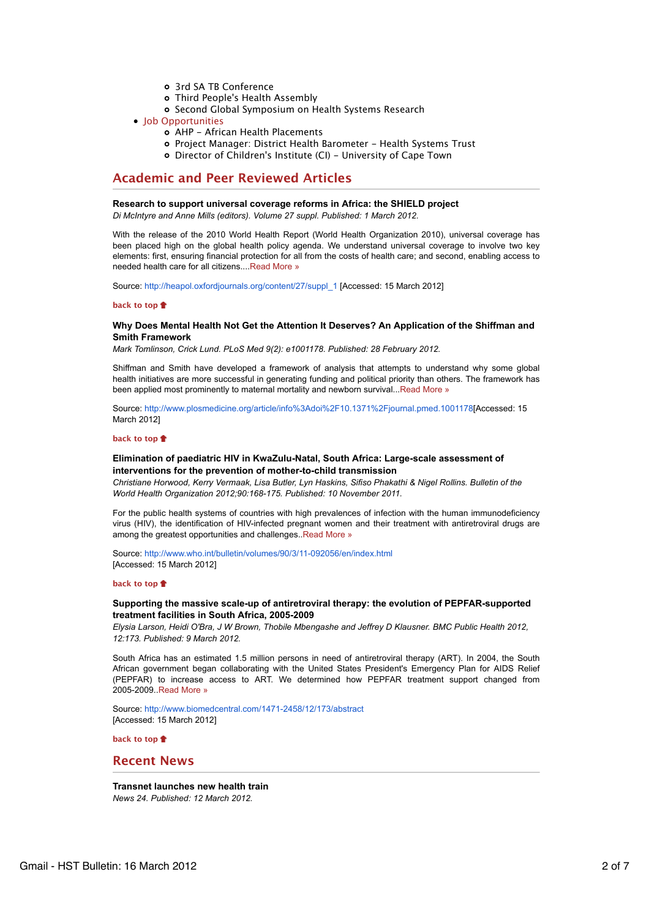- 3rd SA TB Conference
- Third People's Health Assembly
- o Second Global Symposium on Health Systems Research
- Job Opportunities
	- AHP African Health Placements
	- Project Manager: District Health Barometer Health Systems Trust
	- o Director of Children's Institute (CI) University of Cape Town

# **Academic and Peer Reviewed Articles**

#### **Research to support universal coverage reforms in Africa: the SHIELD project**

*Di McIntyre and Anne Mills (editors). Volume 27 suppl. Published: 1 March 2012.*

With the release of the 2010 World Health Report (World Health Organization 2010), universal coverage has been placed high on the global health policy agenda. We understand universal coverage to involve two key elements: first, ensuring financial protection for all from the costs of health care; and second, enabling access to needed health care for all citizens....Read More »

Source: http://heapol.oxfordjournals.org/content/27/suppl\_1 [Accessed: 15 March 2012]

## **back to top**

## **Why Does Mental Health Not Get the Attention It Deserves? An Application of the Shiffman and Smith Framework**

*Mark Tomlinson, Crick Lund. PLoS Med 9(2): e1001178. Published: 28 February 2012.*

Shiffman and Smith have developed a framework of analysis that attempts to understand why some global health initiatives are more successful in generating funding and political priority than others. The framework has been applied most prominently to maternal mortality and newborn survival...Read More »

Source: http://www.plosmedicine.org/article/info%3Adoi%2F10.1371%2Fjournal.pmed.1001178[Accessed: 15 March 2012]

## **back to top**

## **Elimination of paediatric HIV in KwaZulu-Natal, South Africa: Large-scale assessment of interventions for the prevention of mother-to-child transmission**

*Christiane Horwood, Kerry Vermaak, Lisa Butler, Lyn Haskins, Sifiso Phakathi & Nigel Rollins. Bulletin of the World Health Organization 2012;90:168-175. Published: 10 November 2011.*

For the public health systems of countries with high prevalences of infection with the human immunodeficiency virus (HIV), the identification of HIV-infected pregnant women and their treatment with antiretroviral drugs are among the greatest opportunities and challenges..Read More »

Source: http://www.who.int/bulletin/volumes/90/3/11-092056/en/index.html [Accessed: 15 March 2012]

### **back to top**

## **Supporting the massive scale-up of antiretroviral therapy: the evolution of PEPFAR-supported treatment facilities in South Africa, 2005-2009**

*Elysia Larson, Heidi O'Bra, J W Brown, Thobile Mbengashe and Jeffrey D Klausner. BMC Public Health 2012, 12:173. Published: 9 March 2012.*

South Africa has an estimated 1.5 million persons in need of antiretroviral therapy (ART). In 2004, the South African government began collaborating with the United States President's Emergency Plan for AIDS Relief (PEPFAR) to increase access to ART. We determined how PEPFAR treatment support changed from 2005-2009..Read More »

Source: http://www.biomedcentral.com/1471-2458/12/173/abstract [Accessed: 15 March 2012]

**back to top**

# **Recent News**

**Transnet launches new health train** *News 24. Published: 12 March 2012.*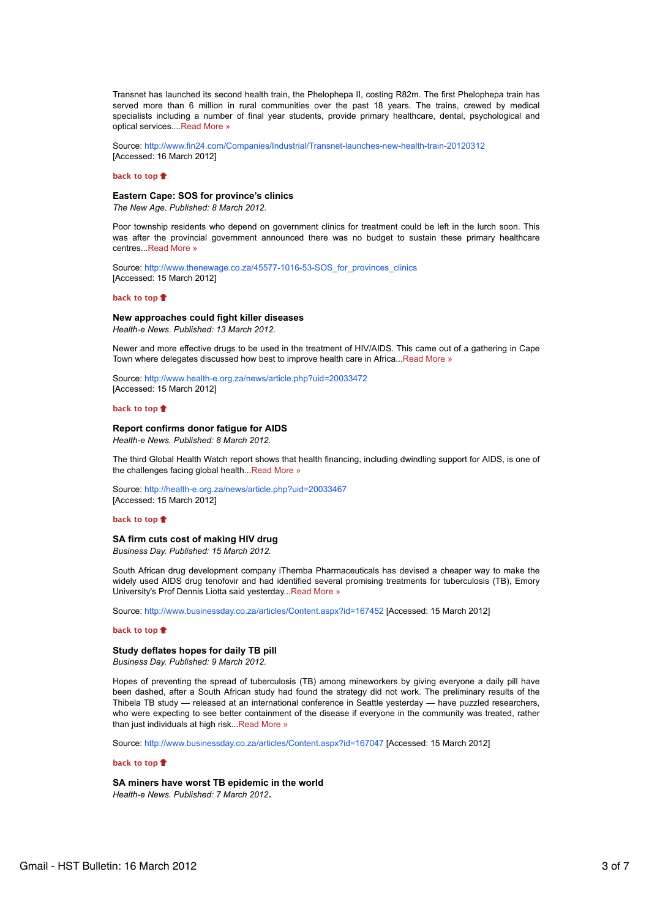Transnet has launched its second health train, the Phelophepa II, costing R82m. The first Phelophepa train has served more than 6 million in rural communities over the past 18 years. The trains, crewed by medical specialists including a number of final year students, provide primary healthcare, dental, psychological and optical services....Read More »

Source: http://www.fin24.com/Companies/Industrial/Transnet-launches-new-health-train-20120312 [Accessed: 16 March 2012]

#### **back to top**

## **Eastern Cape: SOS for province's clinics**

*The New Age. Published: 8 March 2012.*

Poor township residents who depend on government clinics for treatment could be left in the lurch soon. This was after the provincial government announced there was no budget to sustain these primary healthcare centres...Read More »

Source: http://www.thenewage.co.za/45577-1016-53-SOS\_for\_provinces\_clinics [Accessed: 15 March 2012]

#### **back to top**

## **New approaches could fight killer diseases**

*Health-e News. Published: 13 March 2012.*

Newer and more effective drugs to be used in the treatment of HIV/AIDS. This came out of a gathering in Cape Town where delegates discussed how best to improve health care in Africa...Read More »

Source: http://www.health-e.org.za/news/article.php?uid=20033472 [Accessed: 15 March 2012]

#### **back to top**

## **Report confirms donor fatigue for AIDS**

*Health-e News. Published: 8 March 2012.*

The third Global Health Watch report shows that health financing, including dwindling support for AIDS, is one of the challenges facing global health...Read More »

Source: http://health-e.org.za/news/article.php?uid=20033467 [Accessed: 15 March 2012]

#### **back to top**

#### **SA firm cuts cost of making HIV drug**

*Business Day. Published: 15 March 2012.*

South African drug development company iThemba Pharmaceuticals has devised a cheaper way to make the widely used AIDS drug tenofovir and had identified several promising treatments for tuberculosis (TB), Emory University's Prof Dennis Liotta said yesterday...Read More »

Source: http://www.businessday.co.za/articles/Content.aspx?id=167452 [Accessed: 15 March 2012]

#### **back to top**

# **Study deflates hopes for daily TB pill**

*Business Day. Published: 9 March 2012.*

Hopes of preventing the spread of tuberculosis (TB) among mineworkers by giving everyone a daily pill have been dashed, after a South African study had found the strategy did not work. The preliminary results of the Thibela TB study — released at an international conference in Seattle yesterday — have puzzled researchers, who were expecting to see better containment of the disease if everyone in the community was treated, rather than just individuals at high risk...Read More »

Source: http://www.businessday.co.za/articles/Content.aspx?id=167047 [Accessed: 15 March 2012]

## **back to top**

**SA miners have worst TB epidemic in the world** *Health-e News. Published: 7 March 2012*.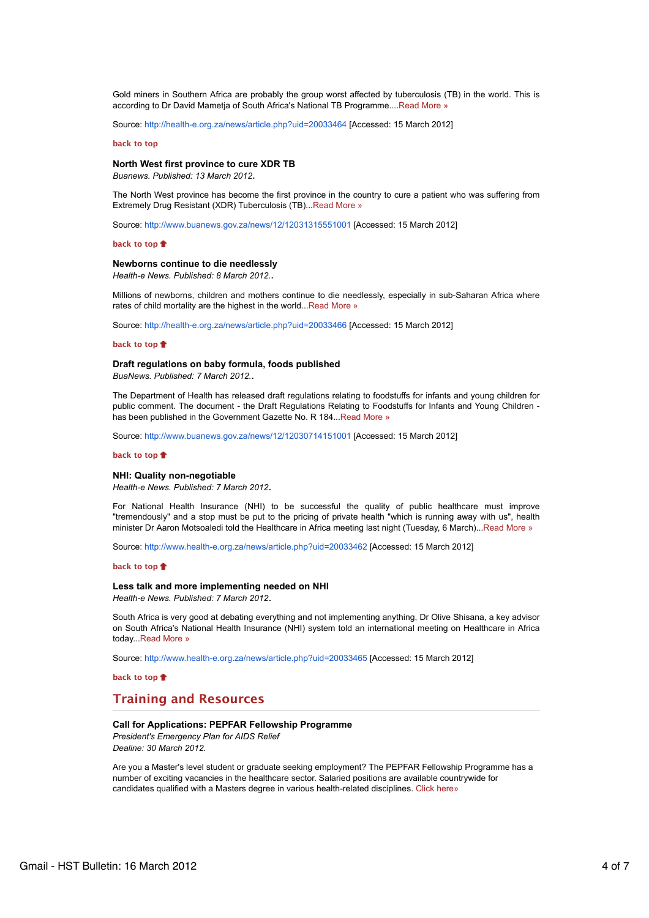Gold miners in Southern Africa are probably the group worst affected by tuberculosis (TB) in the world. This is according to Dr David Mametja of South Africa's National TB Programme....Read More »

Source: http://health-e.org.za/news/article.php?uid=20033464 [Accessed: 15 March 2012]

## **back to top**

## **North West first province to cure XDR TB**

*Buanews. Published: 13 March 2012*.

The North West province has become the first province in the country to cure a patient who was suffering from Extremely Drug Resistant (XDR) Tuberculosis (TB)...Read More »

Source: http://www.buanews.gov.za/news/12/12031315551001 [Accessed: 15 March 2012]

## **back to top**

## **Newborns continue to die needlessly**

*Health-e News. Published: 8 March 2012.*.

Millions of newborns, children and mothers continue to die needlessly, especially in sub-Saharan Africa where rates of child mortality are the highest in the world...Read More »

Source: http://health-e.org.za/news/article.php?uid=20033466 [Accessed: 15 March 2012]

#### **back to top**

## **Draft regulations on baby formula, foods published**

*BuaNews. Published: 7 March 2012.*.

The Department of Health has released draft regulations relating to foodstuffs for infants and young children for public comment. The document - the Draft Regulations Relating to Foodstuffs for Infants and Young Children has been published in the Government Gazette No. R 184...Read More »

Source: http://www.buanews.gov.za/news/12/12030714151001 [Accessed: 15 March 2012]

#### **back to top**

## **NHI: Quality non-negotiable**

*Health-e News. Published: 7 March 2012*.

For National Health Insurance (NHI) to be successful the quality of public healthcare must improve "tremendously" and a stop must be put to the pricing of private health "which is running away with us", health minister Dr Aaron Motsoaledi told the Healthcare in Africa meeting last night (Tuesday, 6 March)...Read More »

Source: http://www.health-e.org.za/news/article.php?uid=20033462 [Accessed: 15 March 2012]

#### **back to top**

#### **Less talk and more implementing needed on NHI**

*Health-e News. Published: 7 March 2012*.

South Africa is very good at debating everything and not implementing anything, Dr Olive Shisana, a key advisor on South Africa's National Health Insurance (NHI) system told an international meeting on Healthcare in Africa today...Read More »

Source: http://www.health-e.org.za/news/article.php?uid=20033465 [Accessed: 15 March 2012]

**back to top**

# **Training and Resources**

## **Call for Applications: PEPFAR Fellowship Programme**

*President's Emergency Plan for AIDS Relief Dealine: 30 March 2012.*

Are you a Master's level student or graduate seeking employment? The PEPFAR Fellowship Programme has a number of exciting vacancies in the healthcare sector. Salaried positions are available countrywide for candidates qualified with a Masters degree in various health-related disciplines. Click here»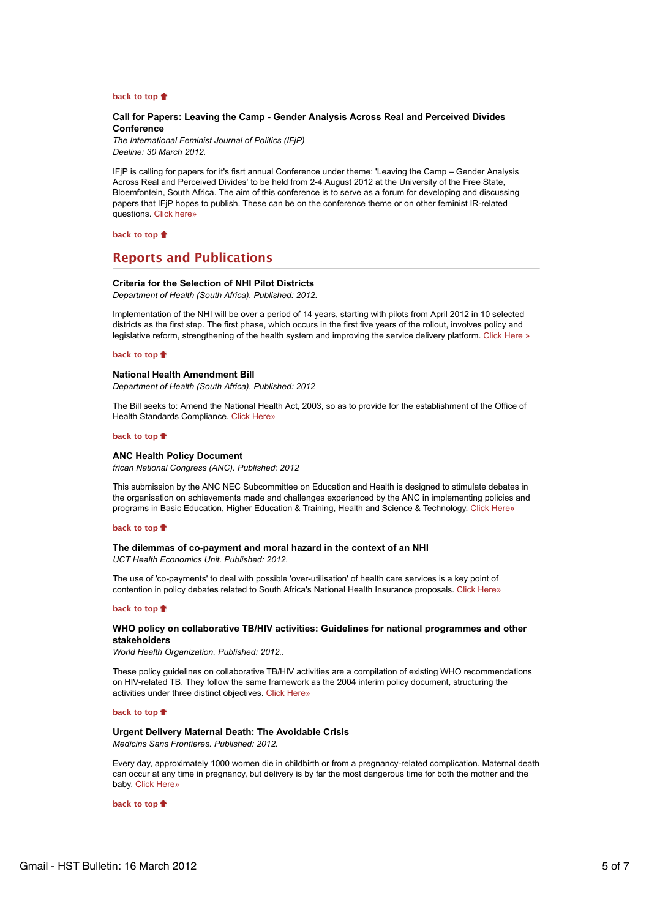#### **back to top**

## **Call for Papers: Leaving the Camp - Gender Analysis Across Real and Perceived Divides Conference**

*The International Feminist Journal of Politics (IFjP) Dealine: 30 March 2012.*

IFjP is calling for papers for it's fisrt annual Conference under theme: 'Leaving the Camp – Gender Analysis Across Real and Perceived Divides' to be held from 2-4 August 2012 at the University of the Free State, Bloemfontein, South Africa. The aim of this conference is to serve as a forum for developing and discussing papers that IFjP hopes to publish. These can be on the conference theme or on other feminist IR-related questions. Click here»

**back to top**

# **Reports and Publications**

## **Criteria for the Selection of NHI Pilot Districts**

*Department of Health (South Africa). Published: 2012.*

Implementation of the NHI will be over a period of 14 years, starting with pilots from April 2012 in 10 selected districts as the first step. The first phase, which occurs in the first five years of the rollout, involves policy and legislative reform, strengthening of the health system and improving the service delivery platform. Click Here »

## **back to top**

## **National Health Amendment Bill**

*Department of Health (South Africa). Published: 2012*

The Bill seeks to: Amend the National Health Act, 2003, so as to provide for the establishment of the Office of Health Standards Compliance. Click Here»

## **back to top**

## **ANC Health Policy Document**

*frican National Congress (ANC). Published: 2012*

This submission by the ANC NEC Subcommittee on Education and Health is designed to stimulate debates in the organisation on achievements made and challenges experienced by the ANC in implementing policies and programs in Basic Education, Higher Education & Training, Health and Science & Technology. Click Here»

#### **back to top**

#### **The dilemmas of co-payment and moral hazard in the context of an NHI**

*UCT Health Economics Unit. Published: 2012.*

The use of 'co-payments' to deal with possible 'over-utilisation' of health care services is a key point of contention in policy debates related to South Africa's National Health Insurance proposals. Click Here»

## **back to top**

## **WHO policy on collaborative TB/HIV activities: Guidelines for national programmes and other stakeholders**

*World Health Organization. Published: 2012..*

These policy guidelines on collaborative TB/HIV activities are a compilation of existing WHO recommendations on HIV-related TB. They follow the same framework as the 2004 interim policy document, structuring the activities under three distinct objectives. Click Here»

#### **back to top**

# **Urgent Delivery Maternal Death: The Avoidable Crisis**

*Medicins Sans Frontieres. Published: 2012.*

Every day, approximately 1000 women die in childbirth or from a pregnancy-related complication. Maternal death can occur at any time in pregnancy, but delivery is by far the most dangerous time for both the mother and the baby. Click Here»

**back to top**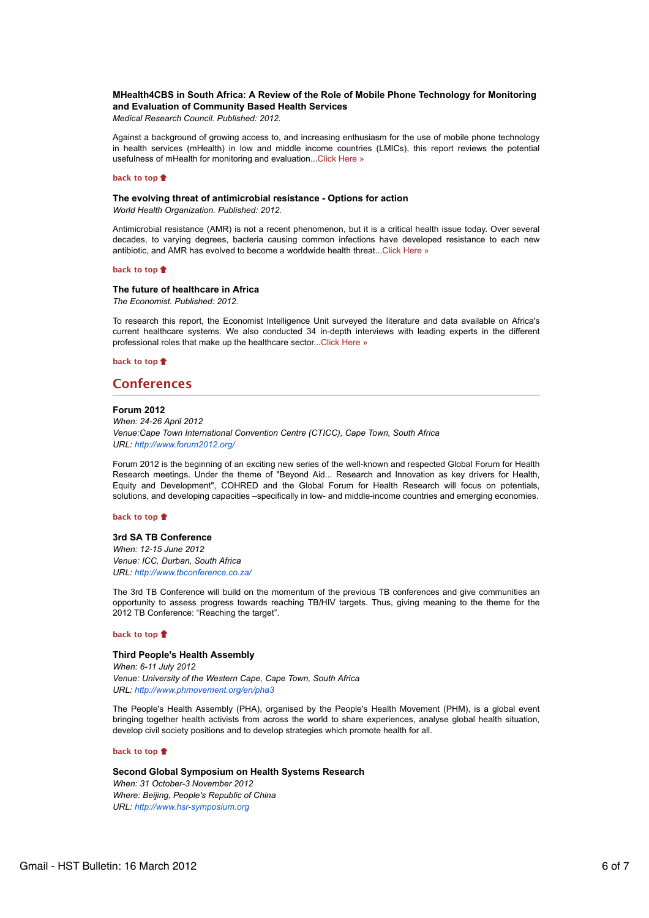# **MHealth4CBS in South Africa: A Review of the Role of Mobile Phone Technology for Monitoring and Evaluation of Community Based Health Services**

*Medical Research Council. Published: 2012.*

Against a background of growing access to, and increasing enthusiasm for the use of mobile phone technology in health services (mHealth) in low and middle income countries (LMICs), this report reviews the potential usefulness of mHealth for monitoring and evaluation...Click Here »

#### **back to top**

#### **The evolving threat of antimicrobial resistance - Options for action**

*World Health Organization. Published: 2012.*

Antimicrobial resistance (AMR) is not a recent phenomenon, but it is a critical health issue today. Over several decades, to varying degrees, bacteria causing common infections have developed resistance to each new antibiotic, and AMR has evolved to become a worldwide health threat...Click Here »

## **back to top**

## **The future of healthcare in Africa**

*The Economist. Published: 2012.*

To research this report, the Economist Intelligence Unit surveyed the literature and data available on Africa's current healthcare systems. We also conducted 34 in-depth interviews with leading experts in the different professional roles that make up the healthcare sector...Click Here »

#### **back to top**

# **Conferences**

#### **Forum 2012**

*When: 24-26 April 2012 Venue:Cape Town International Convention Centre (CTICC), Cape Town, South Africa URL: http://www.forum2012.org/*

Forum 2012 is the beginning of an exciting new series of the well-known and respected Global Forum for Health Research meetings. Under the theme of "Beyond Aid... Research and Innovation as key drivers for Health, Equity and Development", COHRED and the Global Forum for Health Research will focus on potentials, solutions, and developing capacities –specifically in low- and middle-income countries and emerging economies.

#### **back to top**

### **3rd SA TB Conference**

*When: 12-15 June 2012 Venue: ICC, Durban, South Africa URL: http://www.tbconference.co.za/*

The 3rd TB Conference will build on the momentum of the previous TB conferences and give communities an opportunity to assess progress towards reaching TB/HIV targets. Thus, giving meaning to the theme for the 2012 TB Conference: "Reaching the target".

#### **back to top**

## **Third People's Health Assembly**

*When: 6-11 July 2012 Venue: University of the Western Cape, Cape Town, South Africa URL: http://www.phmovement.org/en/pha3*

The People's Health Assembly (PHA), organised by the People's Health Movement (PHM), is a global event bringing together health activists from across the world to share experiences, analyse global health situation, develop civil society positions and to develop strategies which promote health for all.

#### **back to top**

**Second Global Symposium on Health Systems Research** *When: 31 October-3 November 2012 Where: Beijing, People's Republic of China URL: http://www.hsr-symposium.org*